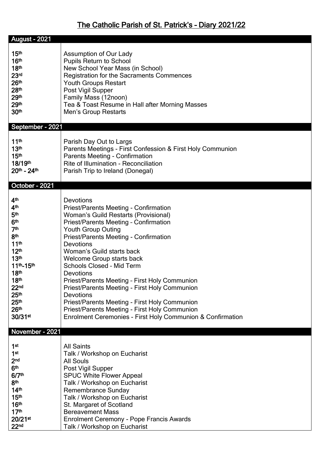## The Catholic Parish of St. Patrick's – Diary 2021/22

| <b>August - 2021</b> |                                                            |  |
|----------------------|------------------------------------------------------------|--|
|                      |                                                            |  |
| 15 <sup>th</sup>     | Assumption of Our Lady                                     |  |
| 16 <sup>th</sup>     | <b>Pupils Return to School</b>                             |  |
| 18 <sup>th</sup>     | New School Year Mass (in School)                           |  |
| 23 <sup>rd</sup>     | Registration for the Sacraments Commences                  |  |
| 26 <sup>th</sup>     |                                                            |  |
|                      | <b>Youth Groups Restart</b>                                |  |
| 28 <sup>th</sup>     | Post Vigil Supper                                          |  |
| 29th                 | Family Mass (12noon)                                       |  |
| 29th                 | Tea & Toast Resume in Hall after Morning Masses            |  |
| 30 <sup>th</sup>     | Men's Group Restarts                                       |  |
| September - 2021     |                                                            |  |
| 11 <sup>th</sup>     | Parish Day Out to Largs                                    |  |
| 13 <sup>th</sup>     | Parents Meetings - First Confession & First Holy Communion |  |
| 15 <sup>th</sup>     | <b>Parents Meeting - Confirmation</b>                      |  |
| 18/19th              | Rite of Illumination - Reconciliation                      |  |
| $20th - 24th$        | Parish Trip to Ireland (Donegal)                           |  |
|                      |                                                            |  |
| October - 2021       |                                                            |  |
| 4 <sup>th</sup>      | <b>Devotions</b>                                           |  |
| 4 <sup>th</sup>      | Priest/Parents Meeting - Confirmation                      |  |
| 5 <sup>th</sup>      | <b>Woman's Guild Restarts (Provisional)</b>                |  |
| 6 <sup>th</sup>      |                                                            |  |
| 7 <sup>th</sup>      | <b>Priest/Parents Meeting - Confirmation</b>               |  |
| 8th                  | <b>Youth Group Outing</b>                                  |  |
| 11 <sup>th</sup>     | Priest/Parents Meeting - Confirmation                      |  |
|                      | <b>Devotions</b>                                           |  |
| 12 <sup>th</sup>     | Woman's Guild starts back                                  |  |
| 13 <sup>th</sup>     | <b>Welcome Group starts back</b>                           |  |
| 11th-15th            | <b>Schools Closed - Mid Term</b>                           |  |
| 18 <sup>th</sup>     | Devotions                                                  |  |
| 18 <sup>th</sup>     | Priest/Parents Meeting - First Holy Communion              |  |
| 22 <sub>nd</sub>     | Priest/Parents Meeting - First Holy Communion              |  |
| 25 <sup>th</sup>     | <b>Devotions</b>                                           |  |
| 25 <sup>th</sup>     | Priest/Parents Meeting - First Holy Communion              |  |
| 26 <sup>th</sup>     | Priest/Parents Meeting - First Holy Communion              |  |
| 30/31st              | Enrolment Ceremonies - First Holy Communion & Confirmation |  |
| November - 2021      |                                                            |  |
|                      |                                                            |  |
| 1 <sup>st</sup>      | <b>All Saints</b>                                          |  |
| 1 <sup>st</sup>      | Talk / Workshop on Eucharist                               |  |
| 2 <sub>nd</sub>      | <b>All Souls</b>                                           |  |
| 6 <sup>th</sup>      | Post Vigil Supper                                          |  |
| 6/7 <sup>th</sup>    | <b>SPUC White Flower Appeal</b>                            |  |
| 8 <sup>th</sup>      | Talk / Workshop on Eucharist                               |  |
| 14 <sup>th</sup>     | Remembrance Sunday                                         |  |
| 15 <sup>th</sup>     | Talk / Workshop on Eucharist                               |  |
| 16 <sup>th</sup>     | St. Margaret of Scotland                                   |  |
| 17 <sup>th</sup>     | <b>Bereavement Mass</b>                                    |  |
| 20/21st              | <b>Enrolment Ceremony - Pope Francis Awards</b>            |  |
| 22 <sub>nd</sub>     | Talk / Workshop on Eucharist                               |  |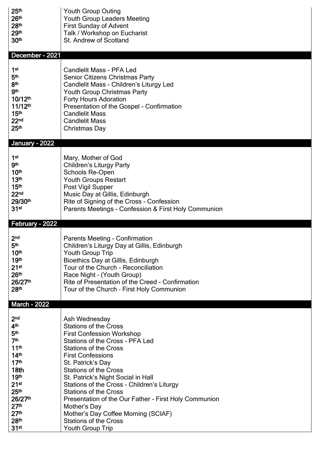| 25 <sup>th</sup>      | <b>Youth Group Outing</b>                            |
|-----------------------|------------------------------------------------------|
| 26 <sup>th</sup>      | Youth Group Leaders Meeting                          |
| 28 <sup>th</sup>      | <b>First Sunday of Advent</b>                        |
| 29th                  | Talk / Workshop on Eucharist                         |
| 30 <sup>th</sup>      | St. Andrew of Scotland                               |
| December - 2021       |                                                      |
| 1 <sup>st</sup>       | <b>Candlelit Mass - PFA Led</b>                      |
| 5 <sup>th</sup>       | Senior Citizens Christmas Party                      |
| 8 <sup>th</sup>       | Candlelit Mass - Children's Liturgy Led              |
| <b>gth</b>            | <b>Youth Group Christmas Party</b>                   |
| $10/12$ <sup>th</sup> | <b>Forty Hours Adoration</b>                         |
| $11/12$ <sup>th</sup> | Presentation of the Gospel - Confirmation            |
| 15 <sup>th</sup>      | <b>Candlelit Mass</b>                                |
| 22 <sub>nd</sub>      | <b>Candlelit Mass</b>                                |
| 25 <sup>th</sup>      | Christmas Day                                        |
| <b>January - 2022</b> |                                                      |
| 1 <sup>st</sup>       | Mary, Mother of God                                  |
| <b>gth</b>            | <b>Children's Liturgy Party</b>                      |
| 10 <sup>th</sup>      | Schools Re-Open                                      |
| 13 <sup>th</sup>      | <b>Youth Groups Restart</b>                          |
| 15 <sup>th</sup>      | Post Vigil Supper                                    |
| 22 <sub>nd</sub>      | Music Day at Gillis, Edinburgh                       |
| 29/30th               | Rite of Signing of the Cross - Confession            |
| 31 <sup>st</sup>      | Parents Meetings - Confession & First Holy Communion |
| February - 2022       |                                                      |
| 2 <sub>nd</sub>       | <b>Parents Meeting - Confirmation</b>                |
| 5th                   | Children's Liturgy Day at Gillis, Edinburgh          |
| 10 <sup>th</sup>      | Youth Group Trip                                     |
| 19th                  | Bioethics Day at Gillis, Edinburgh                   |
| 21 <sup>st</sup>      | Tour of the Church - Reconciliation                  |
| 26 <sup>th</sup>      | Race Night - (Youth Group)                           |
| 26/27th               | Rite of Presentation of the Creed - Confirmation     |
| 28 <sup>th</sup>      | Tour of the Church - First Holy Communion            |
| <b>March - 2022</b>   |                                                      |
| 2 <sub>nd</sub>       | Ash Wednesday                                        |
| 4 <sup>th</sup>       | <b>Stations of the Cross</b>                         |
| 5 <sup>th</sup>       | <b>First Confession Workshop</b>                     |
| 7 <sup>th</sup>       | Stations of the Cross - PFA Led                      |
| 11 <sup>th</sup>      | <b>Stations of the Cross</b>                         |
| 14 <sup>th</sup>      | <b>First Confessions</b>                             |
| 17 <sup>th</sup>      | St. Patrick's Day                                    |
| 18th                  | <b>Stations of the Cross</b>                         |
| 19 <sup>th</sup>      | St. Patrick's Night Social in Hall                   |
| 21 <sup>st</sup>      | Stations of the Cross - Children's Liturgy           |
| 25 <sup>th</sup>      | <b>Stations of the Cross</b>                         |